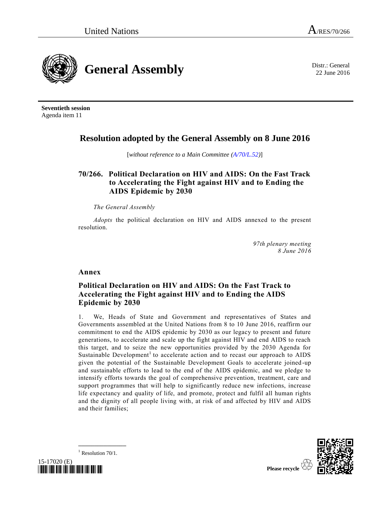**General Assembly** District General District General District General District General

22 June 2016

**Seventieth session** Agenda item 11

# **Resolution adopted by the General Assembly on 8 June 2016**

[*without reference to a Main Committee [\(A/70/L.52\)](http://undocs.org/A/70/L.52)*]

# **70/266. Political Declaration on HIV and AIDS: On the Fast Track to Accelerating the Fight against HIV and to Ending the AIDS Epidemic by 2030**

*The General Assembly*

*Adopts* the political declaration on HIV and AIDS annexed to the present resolution.

> *97th plenary meeting 8 June 2016*

**Annex**

## **Political Declaration on HIV and AIDS: On the Fast Track to Accelerating the Fight against HIV and to Ending the AIDS Epidemic by 2030**

1. We, Heads of State and Government and representatives of States and Governments assembled at the United Nations from 8 to 10 June 2016, reaffirm our commitment to end the AIDS epidemic by 2030 as our legacy to present and future generations, to accelerate and scale up the fight against HIV and end AIDS to reach this target, and to seize the new opportunities provided by the 2030 Agenda for Sustainable Development<sup>1</sup> to accelerate action and to recast our approach to AIDS given the potential of the Sustainable Development Goals to accelerate joined -up and sustainable efforts to lead to the end of the AIDS epidemic, and we pledge to intensify efforts towards the goal of comprehensive prevention, treatment, care and support programmes that will help to significantly reduce new infections, increase life expectancy and quality of life, and promote, protect and fulfil all human rights and the dignity of all people living with, at risk of and affected by HIV and AIDS and their families;

 $1$  Resolution 70/1.



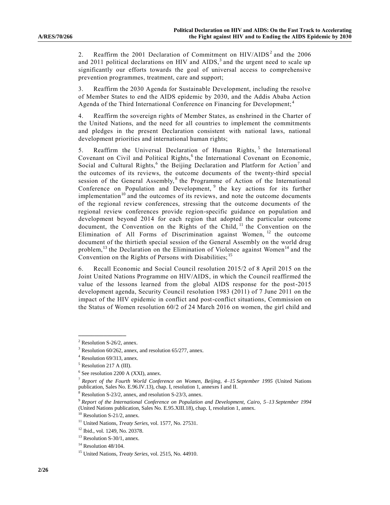2. Reaffirm the 2001 Declaration of Commitment on  $HIV/ALDS<sup>2</sup>$  and the 2006 and 2011 political declarations on HIV and  $AIDS$ ,<sup>3</sup> and the urgent need to scale up significantly our efforts towards the goal of universal access to comprehensive prevention programmes, treatment, care and support;

3. Reaffirm the 2030 Agenda for Sustainable Development, including the resolve of Member States to end the AIDS epidemic by 2030, and the Addis Ababa Action Agenda of the Third International Conference on Financing for Development; <sup>4</sup>

4. Reaffirm the sovereign rights of Member States, as enshrined in the Charter of the United Nations, and the need for all countries to implement the commitments and pledges in the present Declaration consistent with national laws, national development priorities and international human rights;

<span id="page-1-0"></span>5. Reaffirm the Universal Declaration of Human Rights,<sup>5</sup> the International Covenant on Civil and Political Rights,<sup>6</sup> the International Covenant on Economic, Social and Cultural Rights,<sup>[6](#page-1-0)</sup> the Beijing Declaration and Platform for Action<sup>7</sup> and the outcomes of its reviews, the outcome documents of the twenty-third special session of the General Assembly,<sup>8</sup> the Programme of Action of the International Conference on Population and Development, <sup>9</sup> the key actions for its further implementation $10$  and the outcomes of its reviews, and note the outcome documents of the regional review conferences, stressing that the outcome documents of the regional review conferences provide region-specific guidance on population and development beyond 2014 for each region that adopted the particular outcome document, the Convention on the Rights of the Child, <sup>11</sup> the Convention on the Elimination of All Forms of Discrimination against Women, <sup>12</sup> the outcome document of the thirtieth special session of the General Assembly on the world drug problem,<sup>13</sup> the Declaration on the Elimination of Violence against Women<sup>14</sup> and the Convention on the Rights of Persons with Disabilities;<sup>15</sup>

6. Recall Economic and Social Council resolution 2015/2 of 8 April 2015 on the Joint United Nations Programme on HIV/AIDS, in which the Council reaffirmed the value of the lessons learned from the global AIDS response for the post-2015 development agenda, Security Council resolution 1983 (2011) of 7 June 2011 on the impact of the HIV epidemic in conflict and post-conflict situations, Commission on the Status of Women resolution 60/2 of 24 March 2016 on women, the girl child and

 $2$  Resolution S-26/2, annex.

 $3$  Resolution 60/262, annex, and resolution 65/277, annex.

<sup>4</sup> Resolution 69/313, annex.

 $<sup>5</sup>$  Resolution 217 A (III).</sup>

<sup>6</sup> See resolution 2200 A (XXI), annex.

<sup>7</sup> *Report of the Fourth World Conference on Women, Beijing, 4–15 September 1995* (United Nations publication, Sales No. E.96.IV.13), chap. I, resolution 1, annexes I and II.

Resolution S-23/2, annex, and resolution S-23/3, annex.

<sup>9</sup> *Report of the International Conference on Population and Development, Cairo, 5–13 September 1994*  (United Nations publication, Sales No. E.95.XIII.18), chap. I, resolution 1, annex.

 $10$  Resolution S-21/2, annex.

<sup>11</sup> United Nations, *Treaty Series*, vol. 1577, No. 27531.

<sup>12</sup> Ibid., vol. 1249, No. 20378.

 $13$  Resolution S-30/1, annex.

 $14$  Resolution 48/104.

<sup>15</sup> United Nations, *Treaty Series*, vol. 2515, No. 44910.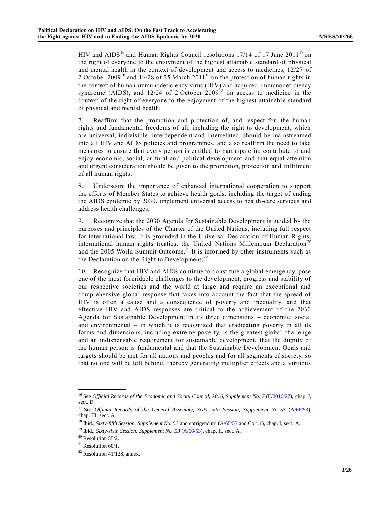<span id="page-2-0"></span>HIV and AIDS<sup>16</sup> and Human Rights Council resolutions 17/14 of 17 June 2011<sup>17</sup> on the right of everyone to the enjoyment of the highest attainable standard of physical and mental health in the context of development and access to medicines, 12/27 of 2 October 2009<sup>18</sup> and 16/28 of 25 March 2011<sup>19</sup> on the protection of human rights in the context of human immunodeficiency virus (HIV) and acquired immunodeficiency syndrome (AIDS), and  $12/24$  of 2 October  $2009^{18}$  $2009^{18}$  $2009^{18}$  on access to medicine in the context of the right of everyone to the enjoyment of the highest attainable standard of physical and mental health;

7. Reaffirm that the promotion and protection of, and respect for, the human rights and fundamental freedoms of all, including the right to development, which are universal, indivisible, interdependent and interrelated, should be mainstreamed into all HIV and AIDS policies and programmes, and also reaffirm the need to take measures to ensure that every person is entitled to participate in, contribute to and enjoy economic, social, cultural and political development and that equal attention and urgent consideration should be given to the promotion, protection and fulfilment of all human rights;

8. Underscore the importance of enhanced international cooperation to support the efforts of Member States to achieve health goals, including the target of ending the AIDS epidemic by 2030, implement universal access to health-care services and address health challenges;

9. Recognize that the 2030 Agenda for Sustainable Development is guided by the purposes and principles of the Charter of the United Nations, including full respect for international law. It is grounded in the Universal Declaration of Human Rights, international human rights treaties, the United Nations Millennium Declaration<sup>20</sup> and the 2005 World Summit Outcome.<sup>21</sup> It is informed by other instruments such as the Declaration on the Right to Development; $^{22}$ 

10. Recognize that HIV and AIDS continue to constitute a global emergency, pose one of the most formidable challenges to the development, progress and stability of our respective societies and the world at large and require an exceptional and comprehensive global response that takes into account the fact that the spread of HIV is often a cause and a consequence of poverty and inequality, and that effective HIV and AIDS responses are critical to the achievement of the 2030 Agenda for Sustainable Development in its three dimensions – economic, social and environmental  $-$  in which it is recognized that eradicating poverty in all its forms and dimensions, including extreme poverty, is the greatest global challenge and an indispensable requirement for sustainable development, that the dignity of the human person is fundamental and that the Sustainable Development Goals and targets should be met for all nations and peoples and for all segments of society, so that no one will be left behind, thereby generating multiplier effects and a virtuous

<sup>&</sup>lt;sup>16</sup> See *Official Records of the Economic and Social Council, 2016, Supplement No. 7 [\(E/2016/27\)](http://undocs.org/E/2016/27), chap. I,* sect. D.

<sup>&</sup>lt;sup>17</sup> See *Official Records of the General Assembly, Sixty-sixth Session, Supplement No. 53 [\(A/66/53\)](http://undocs.org/A/66/53)*, chap. III, sect. A.

<sup>&</sup>lt;sup>18</sup> Ibid., *Sixty-fifth Session, Supplement No.* 53 and corrigendum [\(A/65/53](http://undocs.org/A/65/53) and Corr.1), chap. I, sect. A.

<sup>&</sup>lt;sup>19</sup> Ibid., *Sixty-sixth Session, Supplement No.* 53 [\(A/66/53\)](http://undocs.org/A/66/53), chap. II, sect. A.

 $20$  Resolution 55/2.

 $21$  Resolution 60/1.

 $22$  Resolution 41/128, annex.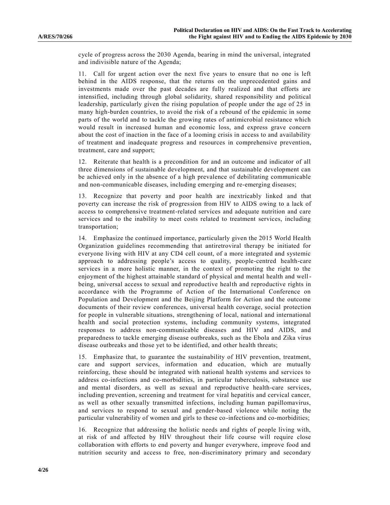cycle of progress across the 2030 Agenda, bearing in mind the universal, integrated and indivisible nature of the Agenda;

11. Call for urgent action over the next five years to ensure that no one is left behind in the AIDS response, that the returns on the unprecedented gains and investments made over the past decades are fully realized and that efforts are intensified, including through global solidarity, shared responsibility and political leadership, particularly given the rising population of people under the age of 25 in many high-burden countries, to avoid the risk of a rebound of the epidemic in some parts of the world and to tackle the growing rates of antimicrobial resistance which would result in increased human and economic loss, and express grave concern about the cost of inaction in the face of a looming crisis in access to and availability of treatment and inadequate progress and resources in comprehensive prevention, treatment, care and support;

12. Reiterate that health is a precondition for and an outcome and indicator of all three dimensions of sustainable development, and that sustainable development can be achieved only in the absence of a high prevalence of debilitating communicable and non-communicable diseases, including emerging and re-emerging diseases;

13. Recognize that poverty and poor health are inextricably linked and that poverty can increase the risk of progression from HIV to AIDS owing to a lack of access to comprehensive treatment-related services and adequate nutrition and care services and to the inability to meet costs related to treatment services, including transportation;

14. Emphasize the continued importance, particularly given the 2015 World Health Organization guidelines recommending that antiretroviral therapy be initiated for everyone living with HIV at any CD4 cell count, of a more integrated and systemic approach to addressing people's access to quality, people-centred health-care services in a more holistic manner, in the context of promoting the right to the enjoyment of the highest attainable standard of physical and mental health and wellbeing, universal access to sexual and reproductive health and reproductive rights in accordance with the Programme of Action of the International Conference on Population and Development and the Beijing Platform for Action and the outcome documents of their review conferences, universal health coverage, social protection for people in vulnerable situations, strengthening of local, national and international health and social protection systems, including community systems, integrated responses to address non-communicable diseases and HIV and AIDS, and preparedness to tackle emerging disease outbreaks, such as the Ebola and Zika virus disease outbreaks and those yet to be identified, and other health threats;

15. Emphasize that, to guarantee the sustainability of HIV prevention, treatment, care and support services, information and education, which are mutually reinforcing, these should be integrated with national health systems and services to address co-infections and co-morbidities, in particular tuberculosis, substance use and mental disorders, as well as sexual and reproductive health-care services, including prevention, screening and treatment for viral hepatitis and cervical cancer, as well as other sexually transmitted infections, including human papillomavirus, and services to respond to sexual and gender-based violence while noting the particular vulnerability of women and girls to these co-infections and co-morbidities;

16. Recognize that addressing the holistic needs and rights of people living with, at risk of and affected by HIV throughout their life course will require close collaboration with efforts to end poverty and hunger everywhere, improve food and nutrition security and access to free, non-discriminatory primary and secondary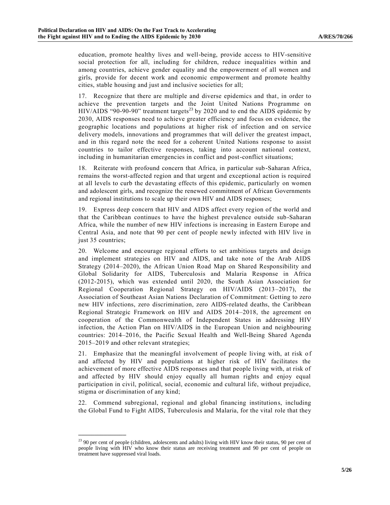education, promote healthy lives and well-being, provide access to HIV-sensitive social protection for all, including for children, reduce inequalities within and among countries, achieve gender equality and the empowerment of all women and girls, provide for decent work and economic empowerment and promote healthy cities, stable housing and just and inclusive societies for all;

<span id="page-4-0"></span>17. Recognize that there are multiple and diverse epidemics and that, in order to achieve the prevention targets and the Joint United Nations Programme on HIV/AIDS "90-90-90" treatment targets<sup>23</sup> by 2020 and to end the AIDS epidemic by 2030, AIDS responses need to achieve greater efficiency and focus on evidence, the geographic locations and populations at higher risk of infection and on service delivery models, innovations and programmes that will deliver the greatest impact, and in this regard note the need for a coherent United Nations response to assist countries to tailor effective responses, taking into account national context, including in humanitarian emergencies in conflict and post-conflict situations;

18. Reiterate with profound concern that Africa, in particular sub-Saharan Africa, remains the worst-affected region and that urgent and exceptional action is required at all levels to curb the devastating effects of this epidemic, particularly on women and adolescent girls, and recognize the renewed commitment of African Governments and regional institutions to scale up their own HIV and AIDS responses;

19. Express deep concern that HIV and AIDS affect every region of the world and that the Caribbean continues to have the highest prevalence outside sub-Saharan Africa, while the number of new HIV infections is increasing in Eastern Europe and Central Asia, and note that 90 per cent of people newly infected with HIV live in just 35 countries;

20. Welcome and encourage regional efforts to set ambitious targets and design and implement strategies on HIV and AIDS, and take note of the Arab AIDS Strategy (2014–2020), the African Union Road Map on Shared Responsibility and Global Solidarity for AIDS, Tuberculosis and Malaria Response in Africa (2012-2015), which was extended until 2020, the South Asian Association for Regional Cooperation Regional Strategy on HIV/AIDS (2013–2017), the Association of Southeast Asian Nations Declaration of Commitment: Getting to zero new HIV infections, zero discrimination, zero AIDS-related deaths, the Caribbean Regional Strategic Framework on HIV and AIDS 2014–2018, the agreement on cooperation of the Commonwealth of Independent States in addressing HIV infection, the Action Plan on HIV/AIDS in the European Union and neighbouring countries: 2014–2016, the Pacific Sexual Health and Well-Being Shared Agenda 2015–2019 and other relevant strategies;

21. Emphasize that the meaningful involvement of people living with, at risk of and affected by HIV and populations at higher risk of HIV facilitates the achievement of more effective AIDS responses and that people living with, at risk of and affected by HIV should enjoy equally all human rights and enjoy equal participation in civil, political, social, economic and cultural life, without prejudice, stigma or discrimination of any kind;

22. Commend subregional, regional and global financing institutions, including the Global Fund to Fight AIDS, Tuberculosis and Malaria, for the vital role that they

<sup>&</sup>lt;sup>23</sup> 90 per cent of people (children, adolescents and adults) living with HIV know their status, 90 per cent of people living with HIV who know their status are receiving treatment and 90 per cent of people on treatment have suppressed viral loads.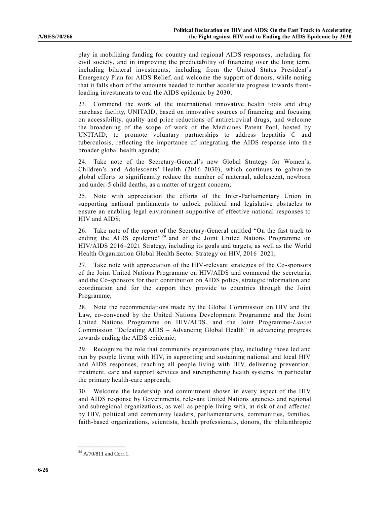play in mobilizing funding for country and regional AIDS responses, including for civil society, and in improving the predictability of financing over the long term, including bilateral investments, including from the United States President's Emergency Plan for AIDS Relief, and welcome the support of donors, while noting that it falls short of the amounts needed to further accelerate progress towards frontloading investments to end the AIDS epidemic by 2030;

23. Commend the work of the international innovative health tools and drug purchase facility, UNITAID, based on innovative sources of financing and focusing on accessibility, quality and price reductions of antiretroviral drugs, and welcome the broadening of the scope of work of the Medicines Patent Pool, hosted by UNITAID, to promote voluntary partnerships to address hepatitis C and tuberculosis, reflecting the importance of integrating the AIDS response into the broader global health agenda;

24. Take note of the Secretary-General's new Global Strategy for Women's, Children's and Adolescents' Health (2016–2030), which continues to galvanize global efforts to significantly reduce the number of maternal, adolescent, newborn and under-5 child deaths, as a matter of urgent concern;

25. Note with appreciation the efforts of the Inter-Parliamentary Union in supporting national parliaments to unlock political and legislative obstacles to ensure an enabling legal environment supportive of effective national responses to HIV and AIDS;

26. Take note of the report of the Secretary-General entitled "On the fast track to ending the AIDS epidemic"<sup>24</sup> and of the Joint United Nations Programme on HIV/AIDS 2016–2021 Strategy, including its goals and targets, as well as the World Health Organization Global Health Sector Strategy on HIV, 2016–2021;

27. Take note with appreciation of the HIV-relevant strategies of the Co-sponsors of the Joint United Nations Programme on HIV/AIDS and commend the secretariat and the Co-sponsors for their contribution on AIDS policy, strategic information and coordination and for the support they provide to countries through the Joint Programme;

28. Note the recommendations made by the Global Commission on HIV and the Law, co-convened by the United Nations Development Programme and the Joint United Nations Programme on HIV/AIDS, and the Joint Programme-*Lancet* Commission "Defeating AIDS – Advancing Global Health" in advancing progress towards ending the AIDS epidemic;

29. Recognize the role that community organizations play, including those led and run by people living with HIV, in supporting and sustaining national and local HIV and AIDS responses, reaching all people living with HIV, delivering prevention, treatment, care and support services and strengthening health systems, in particular the primary health-care approach;

30. Welcome the leadership and commitment shown in every aspect of the HIV and AIDS response by Governments, relevant United Nations agencies and regional and subregional organizations, as well as people living with, at risk of and affected by HIV, political and community leaders, parliamentarians, communities, families, faith-based organizations, scientists, health professionals, donors, the philanthropic

**\_\_\_\_\_\_\_\_\_\_\_\_\_\_\_**  $^{24}$  [A/70/811](http://undocs.org/A/70/811) and Corr.1.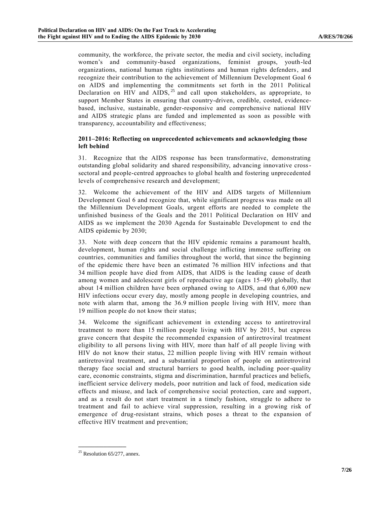community, the workforce, the private sector, the media and civil society, including women's and community-based organizations, feminist groups, youth-led organizations, national human rights institutions and human rights defenders, and recognize their contribution to the achievement of Millennium Development Goal 6 on AIDS and implementing the commitments set forth in the 2011 Political Declaration on HIV and AIDS,  $^{25}$  and call upon stakeholders, as appropriate, to support Member States in ensuring that country-driven, credible, costed, evidencebased, inclusive, sustainable, gender-responsive and comprehensive national HIV and AIDS strategic plans are funded and implemented as soon as possible with transparency, accountability and effectiveness;

### **2011–2016: Reflecting on unprecedented achievements and acknowledging those left behind**

31. Recognize that the AIDS response has been transformative, demonstrating outstanding global solidarity and shared responsibility, advancing innovative crosssectoral and people-centred approaches to global health and fostering unprecedented levels of comprehensive research and development;

32. Welcome the achievement of the HIV and AIDS targets of Millennium Development Goal 6 and recognize that, while significant progress was made on all the Millennium Development Goals, urgent efforts are needed to complete the unfinished business of the Goals and the 2011 Political Declaration on HIV and AIDS as we implement the 2030 Agenda for Sustainable Development to end the AIDS epidemic by 2030;

33. Note with deep concern that the HIV epidemic remains a paramount health, development, human rights and social challenge inflicting immense suffering on countries, communities and families throughout the world, that since the beginning of the epidemic there have been an estimated 76 million HIV infections and that 34 million people have died from AIDS, that AIDS is the leading cause of death among women and adolescent girls of reproductive age (ages 15–49) globally, that about 14 million children have been orphaned owing to AIDS, and that 6,000 new HIV infections occur every day, mostly among people in developing countries, and note with alarm that, among the 36.9 million people living with HIV, more than 19 million people do not know their status;

34. Welcome the significant achievement in extending access to antiretroviral treatment to more than 15 million people living with HIV by 2015, but express grave concern that despite the recommended expansion of antiretroviral treatment eligibility to all persons living with HIV, more than half of all people living with HIV do not know their status, 22 million people living with HIV remain without antiretroviral treatment, and a substantial proportion of people on antiretroviral therapy face social and structural barriers to good health, including poor-quality care, economic constraints, stigma and discrimination, harmful practices and beliefs, inefficient service delivery models, poor nutrition and lack of food, medication side effects and misuse, and lack of comprehensive social protection, care and support, and as a result do not start treatment in a timely fashion, struggle to adhere to treatment and fail to achieve viral suppression, resulting in a growing risk of emergence of drug-resistant strains, which poses a threat to the expansion of effective HIV treatment and prevention;

 $25$  Resolution 65/277, annex.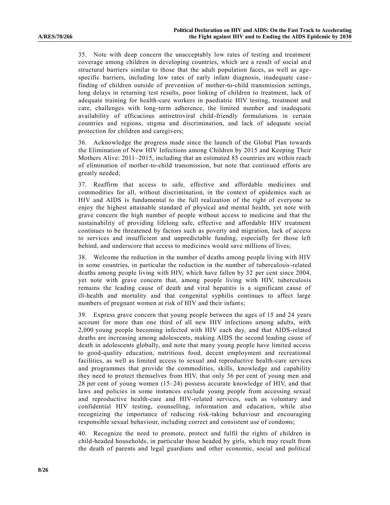35. Note with deep concern the unacceptably low rates of testing and treatment coverage among children in developing countries, which are a result of social an d structural barriers similar to those that the adult population faces, as well as agespecific barriers, including low rates of early infant diagnosis, inadequate case finding of children outside of prevention of mother-to-child transmission settings, long delays in returning test results, poor linking of children to treatment, lack of adequate training for health-care workers in paediatric HIV testing, treatment and care, challenges with long-term adherence, the limited number and inadequate availability of efficacious antiretroviral child-friendly formulations in certain countries and regions, stigma and discrimination, and lack of adequate social protection for children and caregivers;

36. Acknowledge the progress made since the launch of the Global Plan towards the Elimination of New HIV Infections among Children by 2015 and Keeping Their Mothers Alive: 2011–2015, including that an estimated 85 countries are within reach of elimination of mother-to-child transmission, but note that continued efforts are greatly needed;

37. Reaffirm that access to safe, effective and affordable medicines and commodities for all, without discrimination, in the context of epidemics such as HIV and AIDS is fundamental to the full realization of the right of everyone to enjoy the highest attainable standard of physical and mental health, yet note with grave concern the high number of people without access to medicine and that the sustainability of providing lifelong safe, effective and affordable HIV treatment continues to be threatened by factors such as poverty and migration, lack of access to services and insufficient and unpredictable funding, especially for those left behind, and underscore that access to medicines would save millions of lives;

38. Welcome the reduction in the number of deaths among people living with HIV in some countries, in particular the reduction in the number of tuberculosis-related deaths among people living with HIV, which have fallen by 32 per cent since 2004, yet note with grave concern that, among people living with HIV, tuberculosis remains the leading cause of death and viral hepatitis is a significant cause of ill-health and mortality and that congenital syphilis continues to affect large numbers of pregnant women at risk of HIV and their infants;

39. Express grave concern that young people between the ages of 15 and 24 years account for more than one third of all new HIV infections among adults, with 2,000 young people becoming infected with HIV each day, and that AIDS-related deaths are increasing among adolescents, making AIDS the second leading cause of death in adolescents globally, and note that many young people have limited access to good-quality education, nutritious food, decent employment and recreational facilities, as well as limited access to sexual and reproductive health-care services and programmes that provide the commodities, skills, knowledge and capability they need to protect themselves from HIV, that only 36 per cent of young men and 28 per cent of young women (15–24) possess accurate knowledge of HIV, and that laws and policies in some instances exclude young people from accessing sexual and reproductive health-care and HIV-related services, such as voluntary and confidential HIV testing, counselling, information and education, while also recognizing the importance of reducing risk-taking behaviour and encouraging responsible sexual behaviour, including correct and consistent use of condoms;

40. Recognize the need to promote, protect and fulfil the rights of children in child-headed households, in particular those headed by girls, which may result from the death of parents and legal guardians and other economic, social and political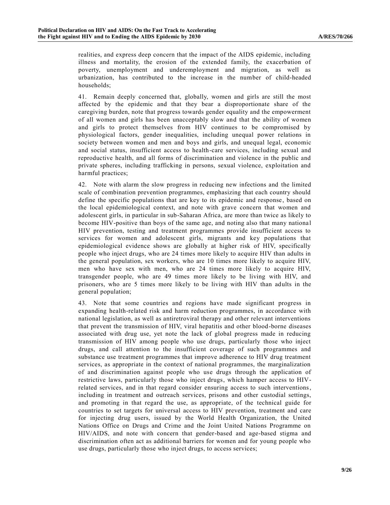realities, and express deep concern that the impact of the AIDS epidemic, including illness and mortality, the erosion of the extended family, the exacerbation of poverty, unemployment and underemployment and migration, as well as urbanization, has contributed to the increase in the number of child-headed households;

41. Remain deeply concerned that, globally, women and girls are still the most affected by the epidemic and that they bear a disproportionate share of the caregiving burden, note that progress towards gender equality and the empowerment of all women and girls has been unacceptably slow and that the ability of women and girls to protect themselves from HIV continues to be compromised by physiological factors, gender inequalities, including unequal power relations in society between women and men and boys and girls, and unequal legal, economic and social status, insufficient access to health-care services, including sexual and reproductive health, and all forms of discrimination and violence in the public and private spheres, including trafficking in persons, sexual violence, exploitation and harmful practices;

42. Note with alarm the slow progress in reducing new infections and the limited scale of combination prevention programmes, emphasizing that each country should define the specific populations that are key to its epidemic and response, based on the local epidemiological context, and note with grave concern that women and adolescent girls, in particular in sub-Saharan Africa, are more than twice as likely to become HIV-positive than boys of the same age, and noting also that many national HIV prevention, testing and treatment programmes provide insufficient access to services for women and adolescent girls, migrants and key populations that epidemiological evidence shows are globally at higher risk of HIV, specifically people who inject drugs, who are 24 times more likely to acquire HIV than adults in the general population, sex workers, who are 10 times more likely to acquire HIV, men who have sex with men, who are 24 times more likely to acquire HIV, transgender people, who are 49 times more likely to be living with HIV, and prisoners, who are 5 times more likely to be living with HIV than adults in the general population;

43. Note that some countries and regions have made significant progress in expanding health-related risk and harm reduction programmes, in accordance with national legislation, as well as antiretroviral therapy and other relevant interventions that prevent the transmission of HIV, viral hepatitis and other blood-borne diseases associated with drug use, yet note the lack of global progress made in reducing transmission of HIV among people who use drugs, particularly those who inject drugs, and call attention to the insufficient coverage of such programmes and substance use treatment programmes that improve adherence to HIV drug treatment services, as appropriate in the context of national programmes, the marginalization of and discrimination against people who use drugs through the application of restrictive laws, particularly those who inject drugs, which hamper access to HIVrelated services, and in that regard consider ensuring access to such interventions, including in treatment and outreach services, prisons and other custodial settings, and promoting in that regard the use, as appropriate, of the technical guide for countries to set targets for universal access to HIV prevention, treatment and care for injecting drug users, issued by the World Health Organization, the United Nations Office on Drugs and Crime and the Joint United Nations Programme on HIV/AIDS, and note with concern that gender-based and age-based stigma and discrimination often act as additional barriers for women and for young people who use drugs, particularly those who inject drugs, to access services;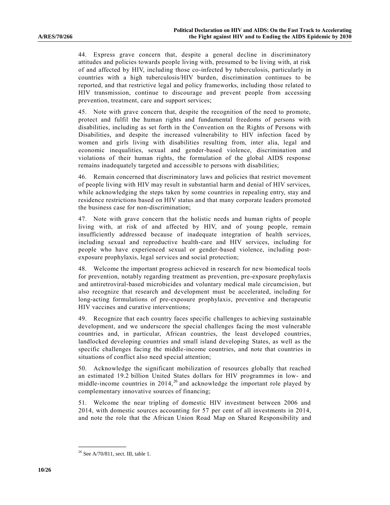44. Express grave concern that, despite a general decline in discriminatory attitudes and policies towards people living with, presumed to be living with, at risk of and affected by HIV, including those co-infected by tuberculosis, particularly in countries with a high tuberculosis/HIV burden, discrimination continues to be reported, and that restrictive legal and policy frameworks, including those related to HIV transmission, continue to discourage and prevent people from accessing prevention, treatment, care and support services;

45. Note with grave concern that, despite the recognition of the need to promote, protect and fulfil the human rights and fundamental freedoms of persons with disabilities, including as set forth in the Convention on the Rights of Persons with Disabilities, and despite the increased vulnerability to HIV infection faced by women and girls living with disabilities resulting from, inter alia, legal and economic inequalities, sexual and gender-based violence, discrimination and violations of their human rights, the formulation of the global AIDS response remains inadequately targeted and accessible to persons with disabilities;

46. Remain concerned that discriminatory laws and policies that restrict movement of people living with HIV may result in substantial harm and denial of HIV services, while acknowledging the steps taken by some countries in repealing entry, stay and residence restrictions based on HIV status and that many corporate leaders promoted the business case for non-discrimination;

47. Note with grave concern that the holistic needs and human rights of people living with, at risk of and affected by HIV, and of young people, remain insufficiently addressed because of inadequate integration of health services, including sexual and reproductive health-care and HIV services, including for people who have experienced sexual or gender-based violence, including postexposure prophylaxis, legal services and social protection;

48. Welcome the important progress achieved in research for new biomedical tools for prevention, notably regarding treatment as prevention, pre-exposure prophylaxis and antiretroviral-based microbicides and voluntary medical male circumcision, but also recognize that research and development must be accelerated, including for long-acting formulations of pre-exposure prophylaxis, preventive and therapeutic HIV vaccines and curative interventions;

49. Recognize that each country faces specific challenges to achieving sustainable development, and we underscore the special challenges facing the most vulnerable countries and, in particular, African countries, the least developed countries, landlocked developing countries and small island developing States, as well as the specific challenges facing the middle-income countries, and note that countries in situations of conflict also need special attention;

50. Acknowledge the significant mobilization of resources globally that reached an estimated 19.2 billion United States dollars for HIV programmes in low- and middle-income countries in 2014,<sup>26</sup> and acknowledge the important role played by complementary innovative sources of financing;

51. Welcome the near tripling of domestic HIV investment between 2006 and 2014, with domestic sources accounting for 57 per cent of all investments in 2014, and note the role that the African Union Road Map on Shared Responsibility and

<sup>&</sup>lt;sup>26</sup> Se[e A/70/811,](http://undocs.org/A/70/811) sect. III, table 1.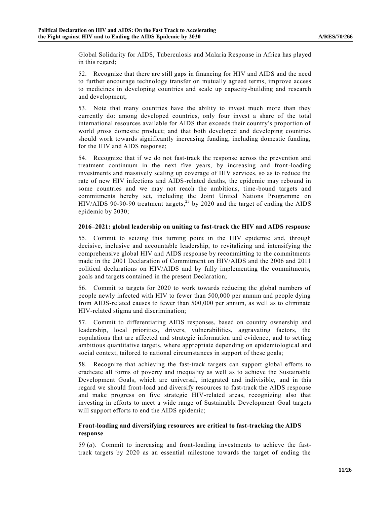Global Solidarity for AIDS, Tuberculosis and Malaria Response in Africa has played in this regard;

52. Recognize that there are still gaps in financing for HIV and AIDS and the need to further encourage technology transfer on mutually agreed terms, improve access to medicines in developing countries and scale up capacity-building and research and development;

53. Note that many countries have the ability to invest much more than they currently do: among developed countries, only four invest a share of the total international resources available for AIDS that exceeds their country's proportion of world gross domestic product; and that both developed and developing countries should work towards significantly increasing funding, including domestic funding, for the HIV and AIDS response;

54. Recognize that if we do not fast-track the response across the prevention and treatment continuum in the next five years, by increasing and front-loading investments and massively scaling up coverage of HIV services, so as to reduce the rate of new HIV infections and AIDS-related deaths, the epidemic may rebound in some countries and we may not reach the ambitious, time-bound targets and commitments hereby set, including the Joint United Nations Programme on HIV/AIDS 90-90-90 treatment targets, [23](#page-4-0) by 2020 and the target of ending the AIDS epidemic by 2030;

#### **2016–2021: global leadership on uniting to fast-track the HIV and AIDS response**

55. Commit to seizing this turning point in the HIV epidemic and, through decisive, inclusive and accountable leadership, to revitalizing and intensifying the comprehensive global HIV and AIDS response by recommitting to the commitments made in the 2001 Declaration of Commitment on HIV/AIDS and the 2006 and 2011 political declarations on HIV/AIDS and by fully implementing the commitments, goals and targets contained in the present Declaration;

56. Commit to targets for 2020 to work towards reducing the global numbers of people newly infected with HIV to fewer than 500,000 per annum and people dying from AIDS-related causes to fewer than 500,000 per annum, as well as to eliminate HIV-related stigma and discrimination;

57. Commit to differentiating AIDS responses, based on country ownership and leadership, local priorities, drivers, vulnerabilities, aggravating factors, the populations that are affected and strategic information and evidence, and to setting ambitious quantitative targets, where appropriate depending on epidemiologic al and social context, tailored to national circumstances in support of these goals;

58. Recognize that achieving the fast-track targets can support global efforts to eradicate all forms of poverty and inequality as well as to achieve the Sustainable Development Goals, which are universal, integrated and indivisible, and in this regard we should front-load and diversify resources to fast-track the AIDS response and make progress on five strategic HIV-related areas, recognizing also that investing in efforts to meet a wide range of Sustainable Development Goal targets will support efforts to end the AIDS epidemic;

#### **Front-loading and diversifying resources are critical to fast-tracking the AIDS response**

59 (*a*). Commit to increasing and front-loading investments to achieve the fasttrack targets by 2020 as an essential milestone towards the target of ending the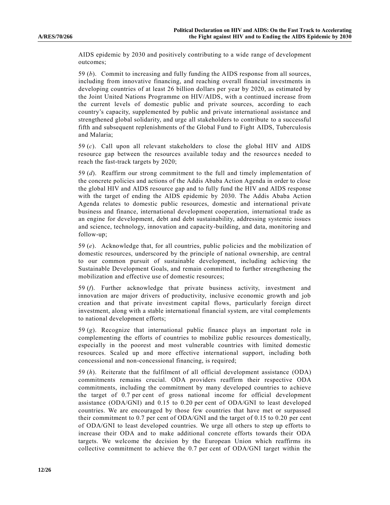AIDS epidemic by 2030 and positively contributing to a wide range of development outcomes;

59 (*b*). Commit to increasing and fully funding the AIDS response from all sources, including from innovative financing, and reaching overall financial investments in developing countries of at least 26 billion dollars per year by 2020, as estimated by the Joint United Nations Programme on HIV/AIDS, with a continued increase from the current levels of domestic public and private sources, according to each country's capacity, supplemented by public and private international assistance and strengthened global solidarity, and urge all stakeholders to contribute to a successful fifth and subsequent replenishments of the Global Fund to Fight AIDS, Tuberculosis and Malaria;

59 (*c*). Call upon all relevant stakeholders to close the global HIV and AIDS resource gap between the resources available today and the resources needed to reach the fast-track targets by 2020;

59 (*d*). Reaffirm our strong commitment to the full and timely implementation of the concrete policies and actions of the Addis Ababa Action Agenda in order to close the global HIV and AIDS resource gap and to fully fund the HIV and AIDS response with the target of ending the AIDS epidemic by 2030. The Addis Ababa Action Agenda relates to domestic public resources, domestic and international private business and finance, international development cooperation, international trade as an engine for development, debt and debt sustainability, addressing systemic issues and science, technology, innovation and capacity-building, and data, monitoring and follow-up;

59 (*e*). Acknowledge that, for all countries, public policies and the mobilization of domestic resources, underscored by the principle of national ownership, are central to our common pursuit of sustainable development, including achieving the Sustainable Development Goals, and remain committed to further strengthening the mobilization and effective use of domestic resources;

59 (*f*). Further acknowledge that private business activity, investment and innovation are major drivers of productivity, inclusive economic growth and job creation and that private investment capital flows, particularly foreign direct investment, along with a stable international financial system, are vital complements to national development efforts;

59 (*g*). Recognize that international public finance plays an important role in complementing the efforts of countries to mobilize public resources domestically, especially in the poorest and most vulnerable countries with limited domestic resources. Scaled up and more effective international support, including both concessional and non-concessional financing, is required;

59 (*h*). Reiterate that the fulfilment of all official development assistance (ODA) commitments remains crucial. ODA providers reaffirm their respective ODA commitments, including the commitment by many developed countries to a chieve the target of 0.7 per cent of gross national income for official development assistance (ODA/GNI) and 0.15 to 0.20 per cent of ODA/GNI to least developed countries. We are encouraged by those few countries that have met or surpassed their commitment to 0.7 per cent of ODA/GNI and the target of 0.15 to 0.20 per cent of ODA/GNI to least developed countries. We urge all others to step up efforts to increase their ODA and to make additional concrete efforts towards their ODA targets. We welcome the decision by the European Union which reaffirms its collective commitment to achieve the 0.7 per cent of ODA/GNI target within the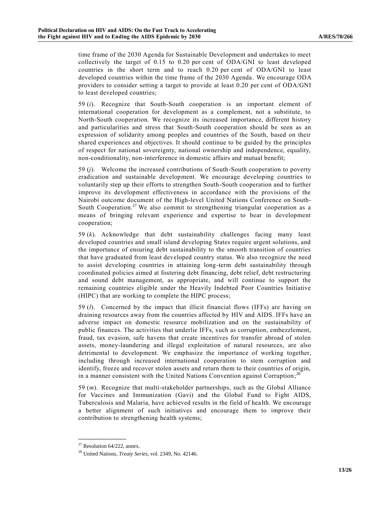time frame of the 2030 Agenda for Sustainable Development and undertakes to meet collectively the target of 0.15 to 0.20 per cent of ODA/GNI to least developed countries in the short term and to reach 0.20 per cent of ODA/GNI to least developed countries within the time frame of the 2030 Agenda. We encourage ODA providers to consider setting a target to provide at least 0.20 per cent of ODA/GNI to least developed countries;

59 (*i*). Recognize that South-South cooperation is an important element of international cooperation for development as a complement, not a substitute, to North-South cooperation. We recognize its increased importance, different history and particularities and stress that South-South cooperation should be seen as an expression of solidarity among peoples and countries of the South, based on their shared experiences and objectives. It should continue to be guided by the principles of respect for national sovereignty, national ownership and independence, equality, non-conditionality, non-interference in domestic affairs and mutual benefit;

59 (*j*). Welcome the increased contributions of South-South cooperation to poverty eradication and sustainable development. We encourage developing countries to voluntarily step up their efforts to strengthen South-South cooperation and to further improve its development effectiveness in accordance with the provisions of the Nairobi outcome document of the High-level United Nations Conference on South-South Cooperation.<sup>27</sup> We also commit to strengthening triangular cooperation as a means of bringing relevant experience and expertise to bear in development cooperation;

59 (*k*). Acknowledge that debt sustainability challenges facing many least developed countries and small island developing States require urgent solutions, and the importance of ensuring debt sustainability to the smooth transition of countries that have graduated from least developed country status. We also recognize the need to assist developing countries in attaining long-term debt sustainability through coordinated policies aimed at fostering debt financing, debt relief, debt restructuring and sound debt management, as appropriate, and will continue to support the remaining countries eligible under the Heavily Indebted Poor Countries Initiative (HIPC) that are working to complete the HIPC process;

59 (*l*). Concerned by the impact that illicit financial flows (IFFs) are having on draining resources away from the countries affected by HIV and AIDS. IFFs have an adverse impact on domestic resource mobilization and on the sustainability of public finances. The activities that underlie IFFs, such as corruption, embezzlement, fraud, tax evasion, safe havens that create incentives for transfer abroad of stolen assets, money-laundering and illegal exploitation of natural resources, are also detrimental to development. We emphasize the importance of working together, including through increased international cooperation to stem corruption and identify, freeze and recover stolen assets and return them to their countries of origin, in a manner consistent with the United Nations Convention against Corruption; $^{28}$ 

59 (*m*). Recognize that multi-stakeholder partnerships, such as the Global Alliance for Vaccines and Immunization (Gavi) and the Global Fund to Fight AIDS, Tuberculosis and Malaria, have achieved results in the field of health. We encourage a better alignment of such initiatives and encourage them to improve their contribution to strengthening health systems;

 $27$  Resolution 64/222, annex.

<sup>28</sup> United Nations, *Treaty Series*, vol. 2349, No. 42146.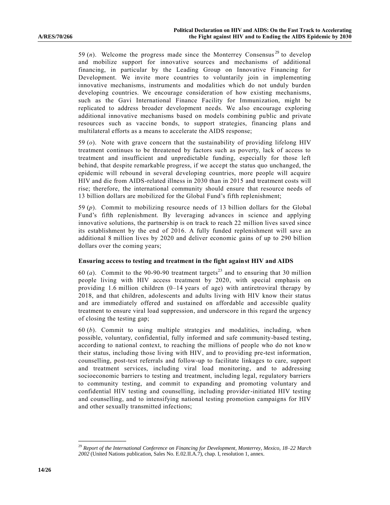59 (*n*). Welcome the progress made since the Monterrey Consensus<sup>29</sup> to develop and mobilize support for innovative sources and mechanisms of additional financing, in particular by the Leading Group on Innovative Financing for Development. We invite more countries to voluntarily join in implementing innovative mechanisms, instruments and modalities which do not unduly burden developing countries. We encourage consideration of how existing mechanisms, such as the Gavi International Finance Facility for Immunization, might be replicated to address broader development needs. We also encourage exploring additional innovative mechanisms based on models combining public and private resources such as vaccine bonds, to support strategies, financing plans and multilateral efforts as a means to accelerate the AIDS response;

59 (*o*). Note with grave concern that the sustainability of providing lifelong HIV treatment continues to be threatened by factors such as poverty, lack of access to treatment and insufficient and unpredictable funding, especially for those left behind, that despite remarkable progress, if we accept the status quo unchanged, the epidemic will rebound in several developing countries, more people will acquire HIV and die from AIDS-related illness in 2030 than in 2015 and treatment costs will rise; therefore, the international community should ensure that resource needs of 13 billion dollars are mobilized for the Global Fund's fifth replenishment;

59 (*p*). Commit to mobilizing resource needs of 13 billion dollars for the Global Fund's fifth replenishment. By leveraging advances in science and applying innovative solutions, the partnership is on track to reach 22 million lives saved since its establishment by the end of 2016. A fully funded replenishment will save an additional 8 million lives by 2020 and deliver economic gains of up to 290 billion dollars over the coming years;

#### **Ensuring access to testing and treatment in the fight against HIV and AIDS**

60  $(a)$ . Commit to the 90-90-90 treatment targets<sup>[23](#page-4-0)</sup> and to ensuring that 30 million people living with HIV access treatment by 2020, with special emphasis on providing 1.6 million children  $(0-14 \text{ years of age})$  with antiretroviral therapy by 2018, and that children, adolescents and adults living with HIV know their status and are immediately offered and sustained on affordable and accessible quality treatment to ensure viral load suppression, and underscore in this regard the urgency of closing the testing gap;

60 (*b*). Commit to using multiple strategies and modalities, including, when possible, voluntary, confidential, fully informed and safe community-based testing, according to national context, to reaching the millions of people who do not know their status, including those living with HIV, and to providing pre-test information, counselling, post-test referrals and follow-up to facilitate linkages to care, support and treatment services, including viral load monitoring, and to addressing socioeconomic barriers to testing and treatment, including legal, regulatory barriers to community testing, and commit to expanding and promoting voluntary and confidential HIV testing and counselling, including provider-initiated HIV testing and counselling, and to intensifying national testing promotion campaigns for HIV and other sexually transmitted infections;

<sup>29</sup> *Report of the International Conference on Financing for Development, Monterrey, Mexico, 18–22 March 2002* (United Nations publication, Sales No. E.02.II.A.7), chap. I, resolution 1, annex.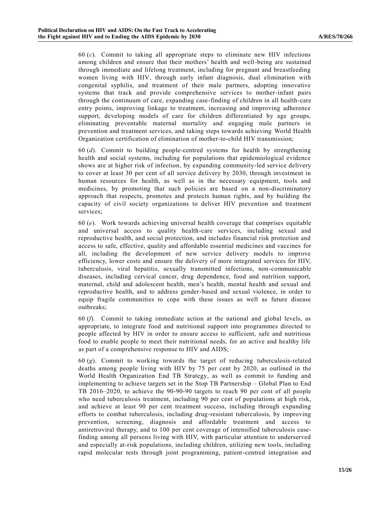60 (*c*). Commit to taking all appropriate steps to eliminate new HIV infections among children and ensure that their mothers' health and well-being are sustained through immediate and lifelong treatment, including for pregnant and breastfeeding women living with HIV, through early infant diagnosis, dual elimination with congenital syphilis, and treatment of their male partners, adopting innovative systems that track and provide comprehensive services to mother-infant pairs through the continuum of care, expanding case-finding of children in all health-care entry points, improving linkage to treatment, increasing and improving adherence support, developing models of care for children differentiated by age groups, eliminating preventable maternal mortality and engaging male partners in prevention and treatment services, and taking steps towards achieving World Health Organization certification of elimination of mother-to-child HIV transmission;

60 (*d*). Commit to building people-centred systems for health by strengthening health and social systems, including for populations that epidemiological evidence shows are at higher risk of infection, by expanding community-led service delivery to cover at least 30 per cent of all service delivery by 2030, through investment in human resources for health, as well as in the necessary equipment, tools and medicines, by promoting that such policies are based on a non-discriminatory approach that respects, promotes and protects human rights, and by building the capacity of civil society organizations to deliver HIV prevention and treatment services;

60 (*e*). Work towards achieving universal health coverage that comprises equitable and universal access to quality health-care services, including sexual and reproductive health, and social protection, and includes financial risk protection and access to safe, effective, quality and affordable essential medicines and vaccines for all, including the development of new service delivery models to improve efficiency, lower costs and ensure the delivery of more integrated services for HIV, tuberculosis, viral hepatitis, sexually transmitted infections, non-communicable diseases, including cervical cancer, drug dependence, food and nutrition support, maternal, child and adolescent health, men's health, mental health and sexual and reproductive health, and to address gender-based and sexual violence, in order to equip fragile communities to cope with these issues as well as future disease outbreaks;

60 (*f*). Commit to taking immediate action at the national and global levels, as appropriate, to integrate food and nutritional support into programmes directed to people affected by HIV in order to ensure access to sufficient, safe and nutritious food to enable people to meet their nutritional needs, for an active and healthy life as part of a comprehensive response to HIV and AIDS;

60 (*g*). Commit to working towards the target of reducing tuberculosis-related deaths among people living with HIV by 75 per cent by 2020, as outlined in the World Health Organization End TB Strategy, as well as commit to funding and implementing to achieve targets set in the Stop TB Partnership – Global Plan to End TB 2016–2020, to achieve the 90-90-90 targets to reach 90 per cent of all people who need tuberculosis treatment, including 90 per cent of populations at high risk, and achieve at least 90 per cent treatment success, including through expanding efforts to combat tuberculosis, including drug-resistant tuberculosis, by improving prevention, screening, diagnosis and affordable treatment and access to antiretroviral therapy, and to 100 per cent coverage of intensified tuberculosis casefinding among all persons living with HIV, with particular attention to underserved and especially at-risk populations, including children, utilizing new tools, including rapid molecular tests through joint programming, patient-centred integration and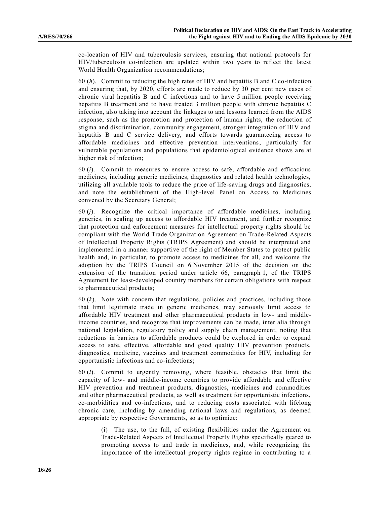co-location of HIV and tuberculosis services, ensuring that national protocols for HIV/tuberculosis co-infection are updated within two years to reflect the latest World Health Organization recommendations;

60 (*h*). Commit to reducing the high rates of HIV and hepatitis B and C co-infection and ensuring that, by 2020, efforts are made to reduce by 30 per cent new cases of chronic viral hepatitis B and C infections and to have 5 million people receiving hepatitis B treatment and to have treated 3 million people with chronic hepatitis C infection, also taking into account the linkages to and lessons learned from the AIDS response, such as the promotion and protection of human rights, the reduction of stigma and discrimination, community engagement, stronger integration of HIV and hepatitis B and C service delivery, and efforts towards guaranteeing access to affordable medicines and effective prevention interventions, particularly for vulnerable populations and populations that epidemiological evidence shows a re at higher risk of infection;

60 (*i*). Commit to measures to ensure access to safe, affordable and efficacious medicines, including generic medicines, diagnostics and related health technologies, utilizing all available tools to reduce the price of life-saving drugs and diagnostics, and note the establishment of the High-level Panel on Access to Medicines convened by the Secretary General;

60 (*j*). Recognize the critical importance of affordable medicines, including generics, in scaling up access to affordable HIV treatment, and further recognize that protection and enforcement measures for intellectual property rights should be compliant with the World Trade Organization Agreement on Trade -Related Aspects of Intellectual Property Rights (TRIPS Agreement) and should be interpreted and implemented in a manner supportive of the right of Member States to protect public health and, in particular, to promote access to medicines for all, and welcome the adoption by the TRIPS Council on 6 November 2015 of the decision on the extension of the transition period under article 66, paragraph 1, of the TRIPS Agreement for least-developed country members for certain obligations with respect to pharmaceutical products;

60 (*k*). Note with concern that regulations, policies and practices, including those that limit legitimate trade in generic medicines, may seriously limit access to affordable HIV treatment and other pharmaceutical products in low- and middleincome countries, and recognize that improvements can be made, inter alia through national legislation, regulatory policy and supply chain management, noting that reductions in barriers to affordable products could be explored in order to expand access to safe, effective, affordable and good quality HIV prevention products, diagnostics, medicine, vaccines and treatment commodities for HIV, including for opportunistic infections and co-infections;

60 (*l*). Commit to urgently removing, where feasible, obstacles that limit the capacity of low- and middle-income countries to provide affordable and effective HIV prevention and treatment products, diagnostics, medicines and commodities and other pharmaceutical products, as well as treatment for opportunistic infections, co-morbidities and co-infections, and to reducing costs associated with lifelong chronic care, including by amending national laws and regulations, as deemed appropriate by respective Governments, so as to optimize:

(i) The use, to the full, of existing flexibilities under the Agreement on Trade-Related Aspects of Intellectual Property Rights specifically geared to promoting access to and trade in medicines, and, while recognizing the importance of the intellectual property rights regime in contributing to a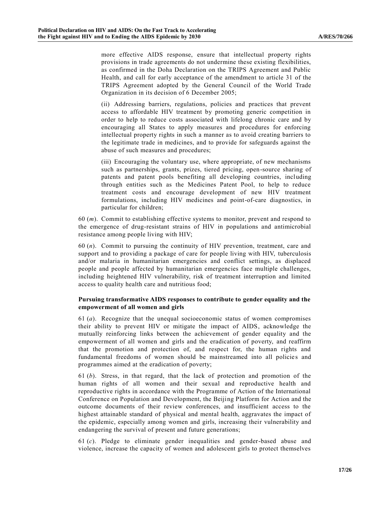more effective AIDS response, ensure that intellectual property rights provisions in trade agreements do not undermine these existing flexibilities, as confirmed in the Doha Declaration on the TRIPS Agreement and Public Health, and call for early acceptance of the amendment to article 31 of the TRIPS Agreement adopted by the General Council of the World Trade Organization in its decision of 6 December 2005;

(ii) Addressing barriers, regulations, policies and practices that prevent access to affordable HIV treatment by promoting generic competition in order to help to reduce costs associated with lifelong chronic care and by encouraging all States to apply measures and procedures for enforcing intellectual property rights in such a manner as to avoid creating barriers to the legitimate trade in medicines, and to provide for safeguards against the abuse of such measures and procedures;

(iii) Encouraging the voluntary use, where appropriate, of new mechanisms such as partnerships, grants, prizes, tiered pricing, open-source sharing of patents and patent pools benefiting all developing countries, including through entities such as the Medicines Patent Pool, to help to reduce treatment costs and encourage development of new HIV treatment formulations, including HIV medicines and point-of-care diagnostics, in particular for children;

60 (*m*). Commit to establishing effective systems to monitor, prevent and respond to the emergence of drug-resistant strains of HIV in populations and antimicrobial resistance among people living with HIV;

60 (*n*). Commit to pursuing the continuity of HIV prevention, treatment, care and support and to providing a package of care for people living with HIV, tuberculosis and/or malaria in humanitarian emergencies and conflict settings, as displaced people and people affected by humanitarian emergencies face multiple challenges, including heightened HIV vulnerability, risk of treatment interruption and limited access to quality health care and nutritious food;

#### **Pursuing transformative AIDS responses to contribute to gender equality and the empowerment of all women and girls**

61 (*a*). Recognize that the unequal socioeconomic status of women compromises their ability to prevent HIV or mitigate the impact of AIDS, acknowledge the mutually reinforcing links between the achievement of gender equality and the empowerment of all women and girls and the eradication of poverty, and reaffirm that the promotion and protection of, and respect for, the human rights and fundamental freedoms of women should be mainstreamed into all policies and programmes aimed at the eradication of poverty;

61 (*b*). Stress, in that regard, that the lack of protection and promotion of the human rights of all women and their sexual and reproductive health and reproductive rights in accordance with the Programme of Action of the International Conference on Population and Development, the Beijing Platform for Action and the outcome documents of their review conferences, and insufficient access to the highest attainable standard of physical and mental health, aggravates the impact of the epidemic, especially among women and girls, increasing their vulnerability and endangering the survival of present and future generations;

61 (*c*). Pledge to eliminate gender inequalities and gender-based abuse and violence, increase the capacity of women and adolescent girls to protect themselves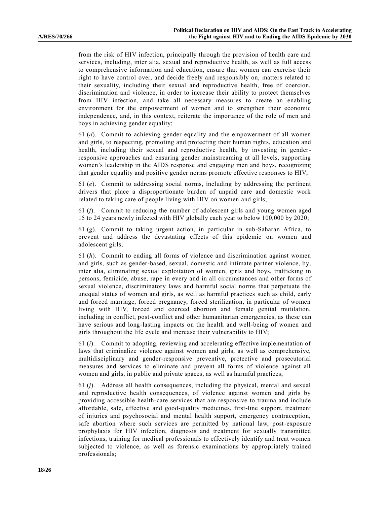from the risk of HIV infection, principally through the provision of health care and services, including, inter alia, sexual and reproductive health, as well as full access to comprehensive information and education, ensure that women can exercise their right to have control over, and decide freely and responsibly on, matters related to their sexuality, including their sexual and reproductive health, free of coercion, discrimination and violence, in order to increase their ability to protect themselves from HIV infection, and take all necessary measures to create an enabling environment for the empowerment of women and to strengthen their economic independence, and, in this context, reiterate the importance of the role of men and boys in achieving gender equality;

61 (*d*). Commit to achieving gender equality and the empowerment of all women and girls, to respecting, promoting and protecting their human rights, education and health, including their sexual and reproductive health, by investing in genderresponsive approaches and ensuring gender mainstreaming at all levels, supporting women's leadership in the AIDS response and engaging men and boys, recognizing that gender equality and positive gender norms promote effective responses to HIV;

61 (*e*). Commit to addressing social norms, including by addressing the pertinent drivers that place a disproportionate burden of unpaid care and domestic work related to taking care of people living with HIV on women and girls;

61 (*f*). Commit to reducing the number of adolescent girls and young women aged 15 to 24 years newly infected with HIV globally each year to below 100,000 by 2020;

61 (*g*). Commit to taking urgent action, in particular in sub-Saharan Africa, to prevent and address the devastating effects of this epidemic on women and adolescent girls;

61 (*h*). Commit to ending all forms of violence and discrimination against women and girls, such as gender-based, sexual, domestic and intimate partner violence, by, inter alia, eliminating sexual exploitation of women, girls and boys, trafficking in persons, femicide, abuse, rape in every and in all circumstances and other forms of sexual violence, discriminatory laws and harmful social norms that perpetuate the unequal status of women and girls, as well as harmful practices such as child, early and forced marriage, forced pregnancy, forced sterilization, in particular of women living with HIV, forced and coerced abortion and female genital mutilation, including in conflict, post-conflict and other humanitarian emergencies, as these can have serious and long-lasting impacts on the health and well-being of women and girls throughout the life cycle and increase their vulnerability to HIV;

61 (*i*). Commit to adopting, reviewing and accelerating effective implementation of laws that criminalize violence against women and girls, as well as comprehensive, multidisciplinary and gender-responsive preventive, protective and prosecutorial measures and services to eliminate and prevent all forms of violence against all women and girls, in public and private spaces, as well as harmful practices;

61 (*j*). Address all health consequences, including the physical, mental and sexual and reproductive health consequences, of violence against women and girls by providing accessible health-care services that are responsive to trauma and include affordable, safe, effective and good-quality medicines, first-line support, treatment of injuries and psychosocial and mental health support, emergency contraception, safe abortion where such services are permitted by national law, post-exposure prophylaxis for HIV infection, diagnosis and treatment for sexually transmitted infections, training for medical professionals to effectively identify and treat women subjected to violence, as well as forensic examinations by appropriately trained professionals;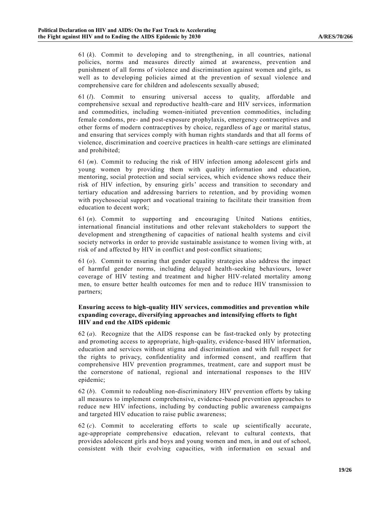61 (*k*). Commit to developing and to strengthening, in all countries, national policies, norms and measures directly aimed at awareness, prevention and punishment of all forms of violence and discrimination against women and girls, as well as to developing policies aimed at the prevention of sexual violence and comprehensive care for children and adolescents sexually abused;

61 (*l*). Commit to ensuring universal access to quality, affordable and comprehensive sexual and reproductive health-care and HIV services, information and commodities, including women-initiated prevention commodities, including female condoms, pre- and post-exposure prophylaxis, emergency contraceptives and other forms of modern contraceptives by choice, regardless of age or marital status, and ensuring that services comply with human rights standards and that all forms of violence, discrimination and coercive practices in health-care settings are eliminated and prohibited;

61 (*m*). Commit to reducing the risk of HIV infection among adolescent girls and young women by providing them with quality information and education, mentoring, social protection and social services, which evidence shows reduce their risk of HIV infection, by ensuring girls' access and transition to secondary and tertiary education and addressing barriers to retention, and by providing women with psychosocial support and vocational training to facilitate their transition from education to decent work;

61 (*n*). Commit to supporting and encouraging United Nations entities, international financial institutions and other relevant stakeholders to support the development and strengthening of capacities of national health systems and civil society networks in order to provide sustainable assistance to women living with , at risk of and affected by HIV in conflict and post-conflict situations;

61 (*o*). Commit to ensuring that gender equality strategies also address the impact of harmful gender norms, including delayed health-seeking behaviours, lower coverage of HIV testing and treatment and higher HIV-related mortality among men, to ensure better health outcomes for men and to reduce HIV transmission to partners;

#### **Ensuring access to high-quality HIV services, commodities and prevention while expanding coverage, diversifying approaches and intensifying efforts to fight HIV and end the AIDS epidemic**

62 (*a*). Recognize that the AIDS response can be fast-tracked only by protecting and promoting access to appropriate, high-quality, evidence-based HIV information, education and services without stigma and discrimination and with full respect for the rights to privacy, confidentiality and informed consent, and reaffirm that comprehensive HIV prevention programmes, treatment, care and support must be the cornerstone of national, regional and international responses to the HIV epidemic;

62 (*b*). Commit to redoubling non-discriminatory HIV prevention efforts by taking all measures to implement comprehensive, evidence-based prevention approaches to reduce new HIV infections, including by conducting public awareness campaigns and targeted HIV education to raise public awareness;

62 (*c*). Commit to accelerating efforts to scale up scientifically accurate, age-appropriate comprehensive education, relevant to cultural contexts, that provides adolescent girls and boys and young women and men, in and out of school, consistent with their evolving capacities, with information on sexual and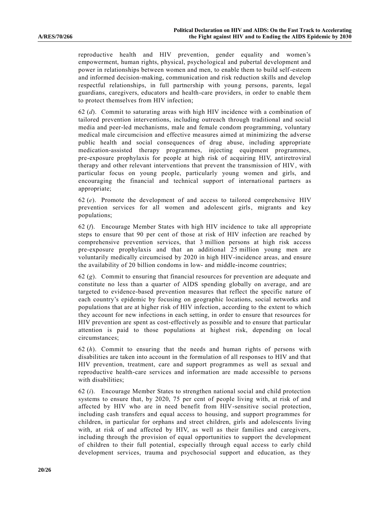reproductive health and HIV prevention, gender equality and women's empowerment, human rights, physical, psychological and pubertal development and power in relationships between women and men, to enable them to build self-esteem and informed decision-making, communication and risk reduction skills and develop respectful relationships, in full partnership with young persons, parents, legal guardians, caregivers, educators and health-care providers, in order to enable them to protect themselves from HIV infection;

62 (*d*). Commit to saturating areas with high HIV incidence with a combination of tailored prevention interventions, including outreach through traditional and social media and peer-led mechanisms, male and female condom programming, voluntary medical male circumcision and effective measures aimed at minimizing the adverse public health and social consequences of drug abuse, including appropriate medication-assisted therapy programmes, injecting equipment programmes, pre-exposure prophylaxis for people at high risk of acquiring HIV, antiretroviral therapy and other relevant interventions that prevent the transmission of HIV, with particular focus on young people, particularly young women and girls, and encouraging the financial and technical support of international partners as appropriate;

 $62$  (*e*). Promote the development of and access to tailored comprehensive HIV prevention services for all women and adolescent girls, migrants and key populations;

62 (*f*). Encourage Member States with high HIV incidence to take all appropriate steps to ensure that 90 per cent of those at risk of HIV infection are reached by comprehensive prevention services, that 3 million persons at high risk access pre-exposure prophylaxis and that an additional 25 million young men are voluntarily medically circumcised by 2020 in high HIV-incidence areas, and ensure the availability of 20 billion condoms in low- and middle-income countries;

62 (*g*). Commit to ensuring that financial resources for prevention are adequate and constitute no less than a quarter of AIDS spending globally on average, and are targeted to evidence-based prevention measures that reflect the specific nature of each country's epidemic by focusing on geographic locations, social networks and populations that are at higher risk of HIV infection, according to the extent to which they account for new infections in each setting, in order to ensure that resources for HIV prevention are spent as cost-effectively as possible and to ensure that particular attention is paid to those populations at highest risk, depending on local circumstances;

62 (*h*). Commit to ensuring that the needs and human rights of persons with disabilities are taken into account in the formulation of all responses to HIV and that HIV prevention, treatment, care and support programmes as well as sexual and reproductive health-care services and information are made accessible to persons with disabilities;

62 (*i*). Encourage Member States to strengthen national social and child protection systems to ensure that, by 2020, 75 per cent of people living with, at risk of and affected by HIV who are in need benefit from HIV-sensitive social protection, including cash transfers and equal access to housing, and support programmes for children, in particular for orphans and street children, girls and adolescents living with, at risk of and affected by HIV, as well as their families and caregivers, including through the provision of equal opportunities to support the development of children to their full potential, especially through equal access to early child development services, trauma and psychosocial support and education, as they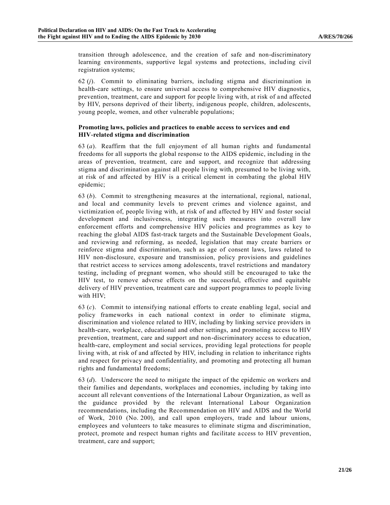transition through adolescence, and the creation of safe and non-discriminatory learning environments, supportive legal systems and protections, including civil registration systems;

62 (*j*). Commit to eliminating barriers, including stigma and discrimination in health-care settings, to ensure universal access to comprehensive HIV diagnostics, prevention, treatment, care and support for people living with, at risk of a nd affected by HIV, persons deprived of their liberty, indigenous people, children, adolescents, young people, women, and other vulnerable populations;

#### **Promoting laws, policies and practices to enable access to services and end HIV-related stigma and discrimination**

63 (*a*). Reaffirm that the full enjoyment of all human rights and fundamental freedoms for all supports the global response to the AIDS epidemic, including in the areas of prevention, treatment, care and support, and recognize that addressing stigma and discrimination against all people living with, presumed to be living with, at risk of and affected by HIV is a critical element in combating the global HIV epidemic;

63 (*b*). Commit to strengthening measures at the international, regional, national, and local and community levels to prevent crimes and violence against, and victimization of, people living with, at risk of and affected by HIV and foster social development and inclusiveness, integrating such measures into overall law enforcement efforts and comprehensive HIV policies and programmes as key to reaching the global AIDS fast-track targets and the Sustainable Development Goals, and reviewing and reforming, as needed, legislation that may create barriers or reinforce stigma and discrimination, such as age of consent laws, laws related to HIV non-disclosure, exposure and transmission, policy provisions and guidelines that restrict access to services among adolescents, travel restrictions and mandatory testing, including of pregnant women, who should still be encouraged to take the HIV test, to remove adverse effects on the successful, effective and equitable delivery of HIV prevention, treatment care and support programmes to people living with HIV;

63 (*c*). Commit to intensifying national efforts to create enabling legal, social and policy frameworks in each national context in order to eliminate stigma, discrimination and violence related to HIV, including by linking service providers in health-care, workplace, educational and other settings, and promoting access to HIV prevention, treatment, care and support and non-discriminatory access to education, health-care, employment and social services, providing legal protections for people living with, at risk of and affected by HIV, including in relation to inheritance rights and respect for privacy and confidentiality, and promoting and protecting all human rights and fundamental freedoms;

63 (*d*). Underscore the need to mitigate the impact of the epidemic on workers and their families and dependants, workplaces and economies, including by taking into account all relevant conventions of the International Labour Organization, as well as the guidance provided by the relevant International Labour Organization recommendations, including the Recommendation on HIV and AIDS and the World of Work, 2010 (No. 200), and call upon employers, trade and labour unions, employees and volunteers to take measures to eliminate stigma and discrimination, protect, promote and respect human rights and facilitate access to HIV prevention, treatment, care and support;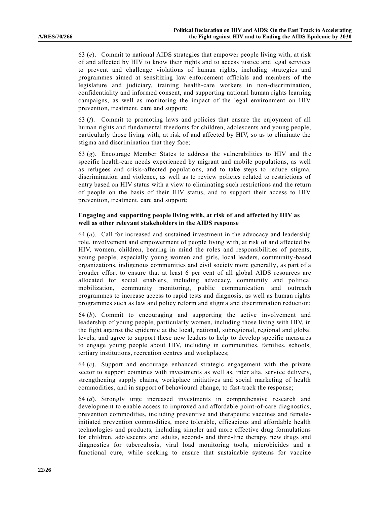63 (*e*). Commit to national AIDS strategies that empower people living with, at risk of and affected by HIV to know their rights and to access justice and legal services to prevent and challenge violations of human rights, including strategies and programmes aimed at sensitizing law enforcement officials and members of the legislature and judiciary, training health-care workers in non-discrimination, confidentiality and informed consent, and supporting national human rights learning campaigns, as well as monitoring the impact of the legal environment on HIV prevention, treatment, care and support;

63 (*f*). Commit to promoting laws and policies that ensure the enjoyment of all human rights and fundamental freedoms for children, adolescents and young people, particularly those living with, at risk of and affected by HIV, so as to eliminate the stigma and discrimination that they face;

63 (*g*). Encourage Member States to address the vulnerabilities to HIV and the specific health-care needs experienced by migrant and mobile populations, as well as refugees and crisis-affected populations, and to take steps to reduce stigma, discrimination and violence, as well as to review policies related to restrictions of entry based on HIV status with a view to eliminating such restrictions and the return of people on the basis of their HIV status, and to support their access to HIV prevention, treatment, care and support;

#### **Engaging and supporting people living with, at risk of and affected by HIV as well as other relevant stakeholders in the AIDS response**

64 (*a*). Call for increased and sustained investment in the advocacy and leadership role, involvement and empowerment of people living with, at risk of and affected by HIV, women, children, bearing in mind the roles and responsibilities of parents, young people, especially young women and girls, local leaders, community-based organizations, indigenous communities and civil society more generally, as part of a broader effort to ensure that at least 6 per cent of all global AIDS resources are allocated for social enablers, including advocacy, community and political mobilization, community monitoring, public communication and outreach programmes to increase access to rapid tests and diagnosis, as well as human rights programmes such as law and policy reform and stigma and discrimination reduction;

64 (*b*). Commit to encouraging and supporting the active involvement and leadership of young people, particularly women, including those living with HIV, in the fight against the epidemic at the local, national, subregional, regional and global levels, and agree to support these new leaders to help to develop specific measures to engage young people about HIV, including in communities, families, schools, tertiary institutions, recreation centres and workplaces;

64 (*c*). Support and encourage enhanced strategic engagement with the private sector to support countries with investments as well as, inter alia, service delivery, strengthening supply chains, workplace initiatives and social marketing of health commodities, and in support of behavioural change, to fast-track the response;

64 (*d*). Strongly urge increased investments in comprehensive research and development to enable access to improved and affordable point-of-care diagnostics, prevention commodities, including preventive and therapeutic vaccines and female initiated prevention commodities, more tolerable, efficacious and affordable health technologies and products, including simpler and more effective drug formulations for children, adolescents and adults, second- and third-line therapy, new drugs and diagnostics for tuberculosis, viral load monitoring tools, microbicides and a functional cure, while seeking to ensure that sustainable systems for vaccine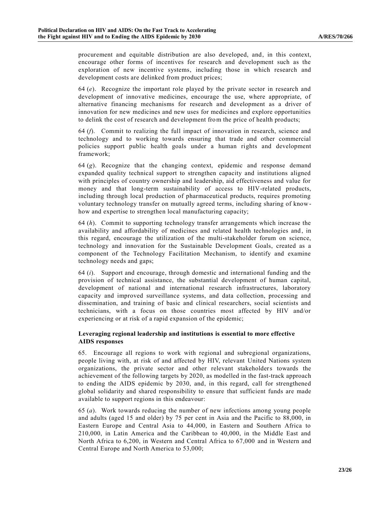procurement and equitable distribution are also developed, and, in this context, encourage other forms of incentives for research and development such as the exploration of new incentive systems, including those in which research and development costs are delinked from product prices;

64 (*e*). Recognize the important role played by the private sector in research and development of innovative medicines, encourage the use, where appropriate, of alternative financing mechanisms for research and development as a driver of innovation for new medicines and new uses for medicines and explore opportunities to delink the cost of research and development from the price of health products;

64 (*f*). Commit to realizing the full impact of innovation in research, science and technology and to working towards ensuring that trade and other commercial policies support public health goals under a human rights and development framework;

64 (*g*). Recognize that the changing context, epidemic and response demand expanded quality technical support to strengthen capacity and institutions aligned with principles of country ownership and leadership, aid effectiveness and value for money and that long-term sustainability of access to HIV-related products, including through local production of pharmaceutical products, requires promoting voluntary technology transfer on mutually agreed terms, including sharing of knowhow and expertise to strengthen local manufacturing capacity;

64 (*h*). Commit to supporting technology transfer arrangements which increase the availability and affordability of medicines and related health technologies and , in this regard, encourage the utilization of the multi-stakeholder forum on science, technology and innovation for the Sustainable Development Goals, created as a component of the Technology Facilitation Mechanism, to identify and examine technology needs and gaps;

64 (*i*). Support and encourage, through domestic and international funding and the provision of technical assistance, the substantial development of human capital, development of national and international research infrastructures, laboratory capacity and improved surveillance systems, and data collection, processing and dissemination, and training of basic and clinical researchers, social scientists and technicians, with a focus on those countries most affected by HIV and/or experiencing or at risk of a rapid expansion of the epidemic;

### **Leveraging regional leadership and institutions is essential to more effective AIDS responses**

65. Encourage all regions to work with regional and subregional organizations, people living with, at risk of and affected by HIV, relevant United Nations system organizations, the private sector and other relevant stakeholders towards the achievement of the following targets by 2020, as modelled in the fast-track approach to ending the AIDS epidemic by 2030, and, in this regard, call for strengthened global solidarity and shared responsibility to ensure that sufficient funds are made available to support regions in this endeavour:

65 (*a*). Work towards reducing the number of new infections among young people and adults (aged 15 and older) by 75 per cent in Asia and the Pacific to 88,000, in Eastern Europe and Central Asia to 44,000, in Eastern and Southern Africa to 210,000, in Latin America and the Caribbean to 40,000, in the Middle East and North Africa to 6,200, in Western and Central Africa to 67,000 and in Western and Central Europe and North America to 53,000;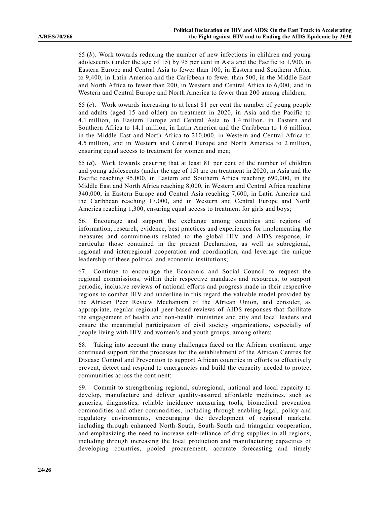65 (*b*). Work towards reducing the number of new infections in children and young adolescents (under the age of 15) by 95 per cent in Asia and the Pacific to 1,900, in Eastern Europe and Central Asia to fewer than 100, in Eastern and Southern Africa to 9,400, in Latin America and the Caribbean to fewer than 500, in the Middle East and North Africa to fewer than 200, in Western and Central Africa to 6,000, and in Western and Central Europe and North America to fewer than 200 among children;

65 (*c*). Work towards increasing to at least 81 per cent the number of young people and adults (aged 15 and older) on treatment in 2020, in Asia and the Pacific to 4.1 million, in Eastern Europe and Central Asia to 1.4 million, in Eastern and Southern Africa to 14.1 million, in Latin America and the Caribbean to 1.6 million, in the Middle East and North Africa to 210,000, in Western and Central Africa to 4.5 million, and in Western and Central Europe and North America to 2 million, ensuring equal access to treatment for women and men;

65 (*d*). Work towards ensuring that at least 81 per cent of the number of children and young adolescents (under the age of 15) are on treatment in 2020, in Asia and the Pacific reaching 95,000, in Eastern and Southern Africa reaching 690,000, in the Middle East and North Africa reaching 8,000, in Western and Central Africa reaching 340,000, in Eastern Europe and Central Asia reaching 7,600, in Latin America and the Caribbean reaching 17,000, and in Western and Central Europe and North America reaching 1,300, ensuring equal access to treatment for girls and boys;

66. Encourage and support the exchange among countries and regions of information, research, evidence, best practices and experiences for implementing the measures and commitments related to the global HIV and AIDS response, in particular those contained in the present Declaration, as well as subregional, regional and interregional cooperation and coordination, and leverage the unique leadership of these political and economic institutions;

67. Continue to encourage the Economic and Social Council to request the regional commissions, within their respective mandates and resources, to support periodic, inclusive reviews of national efforts and progress made in their respective regions to combat HIV and underline in this regard the valuable model provided by the African Peer Review Mechanism of the African Union, and consider, as appropriate, regular regional peer-based reviews of AIDS responses that facilitate the engagement of health and non-health ministries and city and local leaders and ensure the meaningful participation of civil society organizations, especially of people living with HIV and women's and youth groups, among others;

68. Taking into account the many challenges faced on the African continent, urge continued support for the processes for the establishment of the African Centres for Disease Control and Prevention to support African countries in efforts to effectively prevent, detect and respond to emergencies and build the capacity needed to protect communities across the continent;

69. Commit to strengthening regional, subregional, national and local capacity to develop, manufacture and deliver quality-assured affordable medicines, such as generics, diagnostics, reliable incidence measuring tools, biomedical prevention commodities and other commodities, including through enabling legal, policy and regulatory environments, encouraging the development of regional markets, including through enhanced North-South, South-South and triangular cooperation, and emphasizing the need to increase self-reliance of drug supplies in all regions, including through increasing the local production and manufacturing capacities of developing countries, pooled procurement, accurate forecasting and timely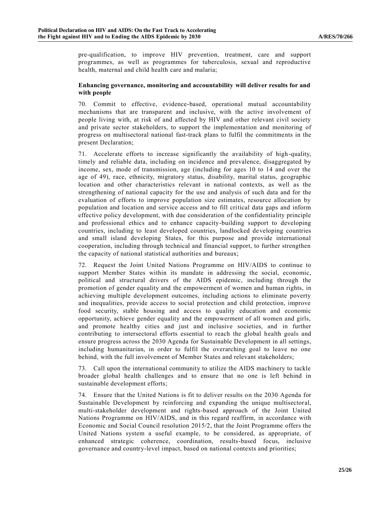pre-qualification, to improve HIV prevention, treatment, care and support programmes, as well as programmes for tuberculosis, sexual and reproductive health, maternal and child health care and malaria;

#### **Enhancing governance, monitoring and accountability will deliver results for and with people**

70. Commit to effective, evidence-based, operational mutual accountability mechanisms that are transparent and inclusive, with the active involvement of people living with, at risk of and affected by HIV and other relevant civil society and private sector stakeholders, to support the implementation and monitoring of progress on multisectoral national fast-track plans to fulfil the commitments in the present Declaration;

71. Accelerate efforts to increase significantly the availability of high-quality, timely and reliable data, including on incidence and prevalence, disaggregated by income, sex, mode of transmission, age (including for ages 10 to 14 and over the age of 49), race, ethnicity, migratory status, disability, marital status, geographic location and other characteristics relevant in national contexts, as well as the strengthening of national capacity for the use and analysis of such data and for the evaluation of efforts to improve population size estimates, resource allocation by population and location and service access and to fill critical data gaps and inform effective policy development, with due consideration of the confidentiality principle and professional ethics and to enhance capacity-building support to developing countries, including to least developed countries, landlocked developing countries and small island developing States, for this purpose and provide international cooperation, including through technical and financial support, to further strengthen the capacity of national statistical authorities and bureaux;

72. Request the Joint United Nations Programme on HIV/AIDS to continue to support Member States within its mandate in addressing the social, economic, political and structural drivers of the AIDS epidemic, including through the promotion of gender equality and the empowerment of women and human rights, in achieving multiple development outcomes, including actions to eliminate poverty and inequalities, provide access to social protection and child protection, improve food security, stable housing and access to quality education and economic opportunity, achieve gender equality and the empowerment of all women and girls, and promote healthy cities and just and inclusive societies, and in further contributing to intersectoral efforts essential to reach the global health goals and ensure progress across the 2030 Agenda for Sustainable Development in all settings, including humanitarian, in order to fulfil the overarching goal to leave no one behind, with the full involvement of Member States and relevant stakeholders;

73. Call upon the international community to utilize the AIDS machinery to tackle broader global health challenges and to ensure that no one is left behind in sustainable development efforts;

74. Ensure that the United Nations is fit to deliver results on the 2030 Agenda for Sustainable Development by reinforcing and expanding the unique multisectoral, multi-stakeholder development and rights-based approach of the Joint United Nations Programme on HIV/AIDS, and in this regard reaffirm, in accordance with Economic and Social Council resolution 2015/2, that the Joint Programme offers the United Nations system a useful example, to be considered, as appropriate, of enhanced strategic coherence, coordination, results-based focus, inclusive governance and country-level impact, based on national contexts and priorities;